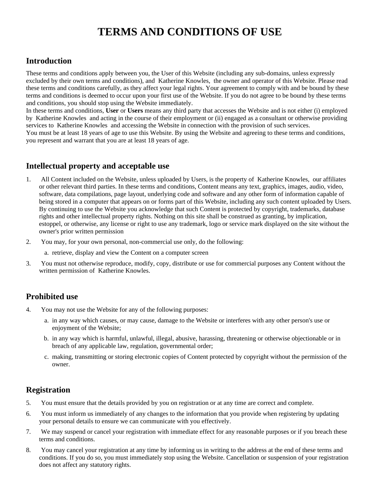# **TERMS AND CONDITIONS OF USE**

# **Introduction**

These terms and conditions apply between you, the User of this Website (including any sub-domains, unless expressly excluded by their own terms and conditions), and Katherine Knowles, the owner and operator of this Website. Please read these terms and conditions carefully, as they affect your legal rights. Your agreement to comply with and be bound by these terms and conditions is deemed to occur upon your first use of the Website. If you do not agree to be bound by these terms and conditions, you should stop using the Website immediately.

In these terms and conditions, **User** or **Users** means any third party that accesses the Website and is not either (i) employed by Katherine Knowles and acting in the course of their employment or (ii) engaged as a consultant or otherwise providing services to Katherine Knowles and accessing the Website in connection with the provision of such services. You must be at least 18 years of age to use this Website. By using the Website and agreeing to these terms and conditions, you represent and warrant that you are at least 18 years of age.

# **Intellectual property and acceptable use**

- 1. All Content included on the Website, unless uploaded by Users, is the property of Katherine Knowles, our affiliates or other relevant third parties. In these terms and conditions, Content means any text, graphics, images, audio, video, software, data compilations, page layout, underlying code and software and any other form of information capable of being stored in a computer that appears on or forms part of this Website, including any such content uploaded by Users. By continuing to use the Website you acknowledge that such Content is protected by copyright, trademarks, database rights and other intellectual property rights. Nothing on this site shall be construed as granting, by implication, estoppel, or otherwise, any license or right to use any trademark, logo or service mark displayed on the site without the owner's prior written permission
- 2. You may, for your own personal, non-commercial use only, do the following:
	- a. retrieve, display and view the Content on a computer screen
- 3. You must not otherwise reproduce, modify, copy, distribute or use for commercial purposes any Content without the written permission of Katherine Knowles.

# **Prohibited use**

- 4. You may not use the Website for any of the following purposes:
	- a. in any way which causes, or may cause, damage to the Website or interferes with any other person's use or enjoyment of the Website;
	- b. in any way which is harmful, unlawful, illegal, abusive, harassing, threatening or otherwise objectionable or in breach of any applicable law, regulation, governmental order;
	- c. making, transmitting or storing electronic copies of Content protected by copyright without the permission of the owner.

# **Registration**

- 5. You must ensure that the details provided by you on registration or at any time are correct and complete.
- 6. You must inform us immediately of any changes to the information that you provide when registering by updating your personal details to ensure we can communicate with you effectively.
- 7. We may suspend or cancel your registration with immediate effect for any reasonable purposes or if you breach these terms and conditions.
- 8. You may cancel your registration at any time by informing us in writing to the address at the end of these terms and conditions. If you do so, you must immediately stop using the Website. Cancellation or suspension of your registration does not affect any statutory rights.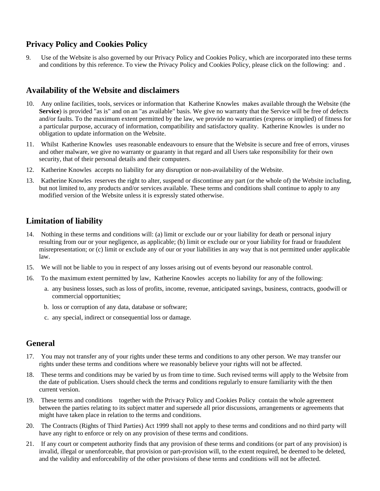## **Privacy Policy and Cookies Policy**

9. Use of the Website is also governed by our Privacy Policy and Cookies Policy, which are incorporated into these terms and conditions by this reference. To view the Privacy Policy and Cookies Policy, please click on the following: and .

#### **Availability of the Website and disclaimers**

- 10. Any online facilities, tools, services or information that Katherine Knowles makes available through the Website (the **Service**) is provided "as is" and on an "as available" basis. We give no warranty that the Service will be free of defects and/or faults. To the maximum extent permitted by the law, we provide no warranties (express or implied) of fitness for a particular purpose, accuracy of information, compatibility and satisfactory quality. Katherine Knowles is under no obligation to update information on the Website.
- 11. Whilst Katherine Knowles uses reasonable endeavours to ensure that the Website is secure and free of errors, viruses and other malware, we give no warranty or guaranty in that regard and all Users take responsibility for their own security, that of their personal details and their computers.
- 12. Katherine Knowles accepts no liability for any disruption or non-availability of the Website.
- 13. Katherine Knowles reserves the right to alter, suspend or discontinue any part (or the whole of) the Website including, but not limited to, any products and/or services available. These terms and conditions shall continue to apply to any modified version of the Website unless it is expressly stated otherwise.

# **Limitation of liability**

- 14. Nothing in these terms and conditions will: (a) limit or exclude our or your liability for death or personal injury resulting from our or your negligence, as applicable; (b) limit or exclude our or your liability for fraud or fraudulent misrepresentation; or (c) limit or exclude any of our or your liabilities in any way that is not permitted under applicable law.
- 15. We will not be liable to you in respect of any losses arising out of events beyond our reasonable control.
- 16. To the maximum extent permitted by law, Katherine Knowles accepts no liability for any of the following:
	- a. any business losses, such as loss of profits, income, revenue, anticipated savings, business, contracts, goodwill or commercial opportunities;
	- b. loss or corruption of any data, database or software;
	- c. any special, indirect or consequential loss or damage.

#### **General**

- 17. You may not transfer any of your rights under these terms and conditions to any other person. We may transfer our rights under these terms and conditions where we reasonably believe your rights will not be affected.
- 18. These terms and conditions may be varied by us from time to time. Such revised terms will apply to the Website from the date of publication. Users should check the terms and conditions regularly to ensure familiarity with the then current version.
- 19. These terms and conditions together with the Privacy Policy and Cookies Policy contain the whole agreement between the parties relating to its subject matter and supersede all prior discussions, arrangements or agreements that might have taken place in relation to the terms and conditions.
- 20. The Contracts (Rights of Third Parties) Act 1999 shall not apply to these terms and conditions and no third party will have any right to enforce or rely on any provision of these terms and conditions.
- 21. If any court or competent authority finds that any provision of these terms and conditions (or part of any provision) is invalid, illegal or unenforceable, that provision or part-provision will, to the extent required, be deemed to be deleted, and the validity and enforceability of the other provisions of these terms and conditions will not be affected.